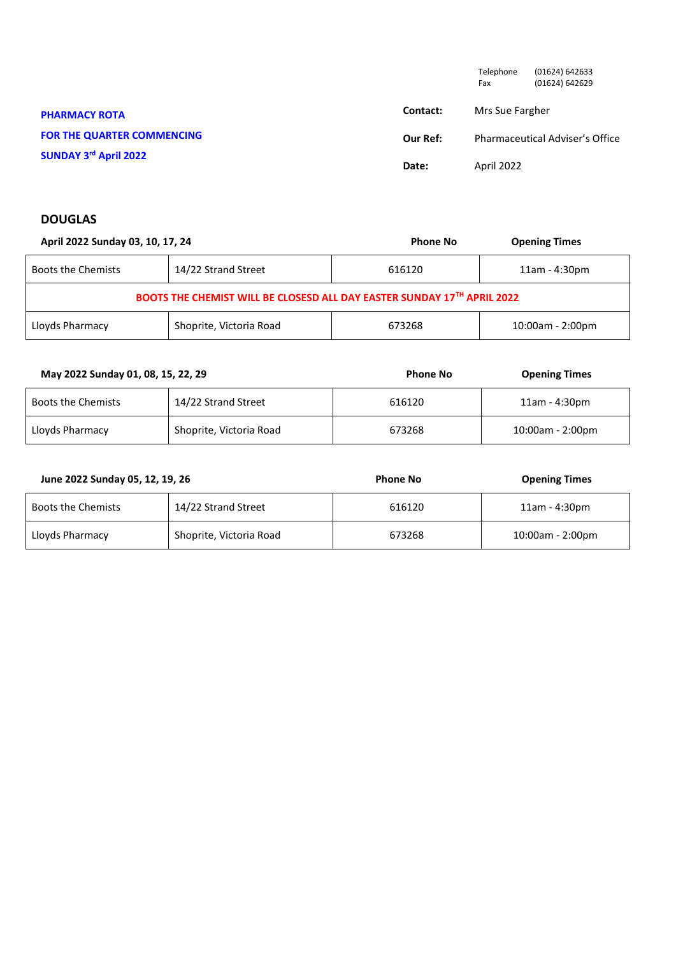|                                   |          | Telephone<br>Fax | (01624) 642633<br>(01624) 642629 |
|-----------------------------------|----------|------------------|----------------------------------|
| <b>PHARMACY ROTA</b>              | Contact: | Mrs Sue Fargher  |                                  |
| <b>FOR THE QUARTER COMMENCING</b> | Our Ref: |                  | Pharmaceutical Adviser's Office  |
| SUNDAY 3rd April 2022             | Date:    | April 2022       |                                  |

## **DOUGLAS**

| April 2022 Sunday 03, 10, 17, 24                                        |                         | <b>Phone No</b> | <b>Opening Times</b> |
|-------------------------------------------------------------------------|-------------------------|-----------------|----------------------|
| <b>Boots the Chemists</b>                                               | 14/22 Strand Street     | 616120          | $11am - 4:30pm$      |
| BOOTS THE CHEMIST WILL BE CLOSESD ALL DAY EASTER SUNDAY 17TH APRIL 2022 |                         |                 |                      |
| Lloyds Pharmacy                                                         | Shoprite, Victoria Road | 673268          | $10:00$ am - 2:00pm  |

| May 2022 Sunday 01, 08, 15, 22, 29 |                         | <b>Phone No</b> | <b>Opening Times</b> |
|------------------------------------|-------------------------|-----------------|----------------------|
| Boots the Chemists                 | 14/22 Strand Street     | 616120          | 11am - 4:30pm        |
| Lloyds Pharmacy                    | Shoprite, Victoria Road | 673268          | 10:00am - 2:00pm     |

| June 2022 Sunday 05, 12, 19, 26 |                         | <b>Phone No</b> | <b>Opening Times</b> |
|---------------------------------|-------------------------|-----------------|----------------------|
| Boots the Chemists              | 14/22 Strand Street     | 616120          | 11am - 4:30pm        |
| Lloyds Pharmacy                 | Shoprite, Victoria Road | 673268          | 10:00am - 2:00pm     |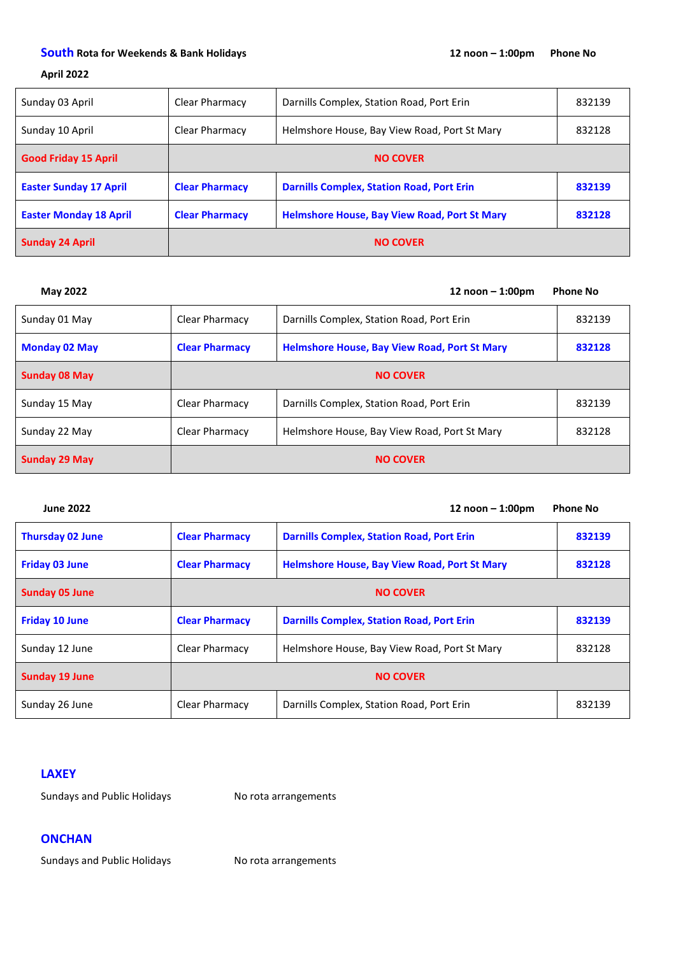### **April 2022**

| Sunday 03 April               | Clear Pharmacy        | Darnills Complex, Station Road, Port Erin           | 832139 |
|-------------------------------|-----------------------|-----------------------------------------------------|--------|
| Sunday 10 April               | Clear Pharmacy        | Helmshore House, Bay View Road, Port St Mary        | 832128 |
| <b>Good Friday 15 April</b>   | <b>NO COVER</b>       |                                                     |        |
| <b>Easter Sunday 17 April</b> | <b>Clear Pharmacy</b> | <b>Darnills Complex, Station Road, Port Erin</b>    | 832139 |
| <b>Easter Monday 18 April</b> | <b>Clear Pharmacy</b> | <b>Helmshore House, Bay View Road, Port St Mary</b> | 832128 |
| <b>Sunday 24 April</b>        | <b>NO COVER</b>       |                                                     |        |

| <b>May 2022</b>      |                       | 12 $n$ oon $-$ 1:00pm                               | <b>Phone No</b> |
|----------------------|-----------------------|-----------------------------------------------------|-----------------|
| Sunday 01 May        | Clear Pharmacy        | Darnills Complex, Station Road, Port Erin           | 832139          |
| <b>Monday 02 May</b> | <b>Clear Pharmacy</b> | <b>Helmshore House, Bay View Road, Port St Mary</b> | 832128          |
| <b>Sunday 08 May</b> |                       | <b>NO COVER</b>                                     |                 |
| Sunday 15 May        | Clear Pharmacy        | Darnills Complex, Station Road, Port Erin           | 832139          |
| Sunday 22 May        | Clear Pharmacy        | Helmshore House, Bay View Road, Port St Mary        | 832128          |
| <b>Sunday 29 May</b> |                       | <b>NO COVER</b>                                     |                 |

| <b>June 2022</b>        |                       | 12 $n$ oon $-$ 1:00pm                               | <b>Phone No</b> |
|-------------------------|-----------------------|-----------------------------------------------------|-----------------|
| <b>Thursday 02 June</b> | <b>Clear Pharmacy</b> | <b>Darnills Complex, Station Road, Port Erin</b>    | 832139          |
| <b>Friday 03 June</b>   | <b>Clear Pharmacy</b> | <b>Helmshore House, Bay View Road, Port St Mary</b> | 832128          |
| <b>Sunday 05 June</b>   |                       | <b>NO COVER</b>                                     |                 |
| <b>Friday 10 June</b>   | <b>Clear Pharmacy</b> | <b>Darnills Complex, Station Road, Port Erin</b>    | 832139          |
| Sunday 12 June          | Clear Pharmacy        | Helmshore House, Bay View Road, Port St Mary        | 832128          |
| <b>Sunday 19 June</b>   |                       | <b>NO COVER</b>                                     |                 |
| Sunday 26 June          | Clear Pharmacy        | Darnills Complex, Station Road, Port Erin           | 832139          |

## **LAXEY**

Sundays and Public Holidays No rota arrangements

## **ONCHAN**

Sundays and Public Holidays No rota arrangements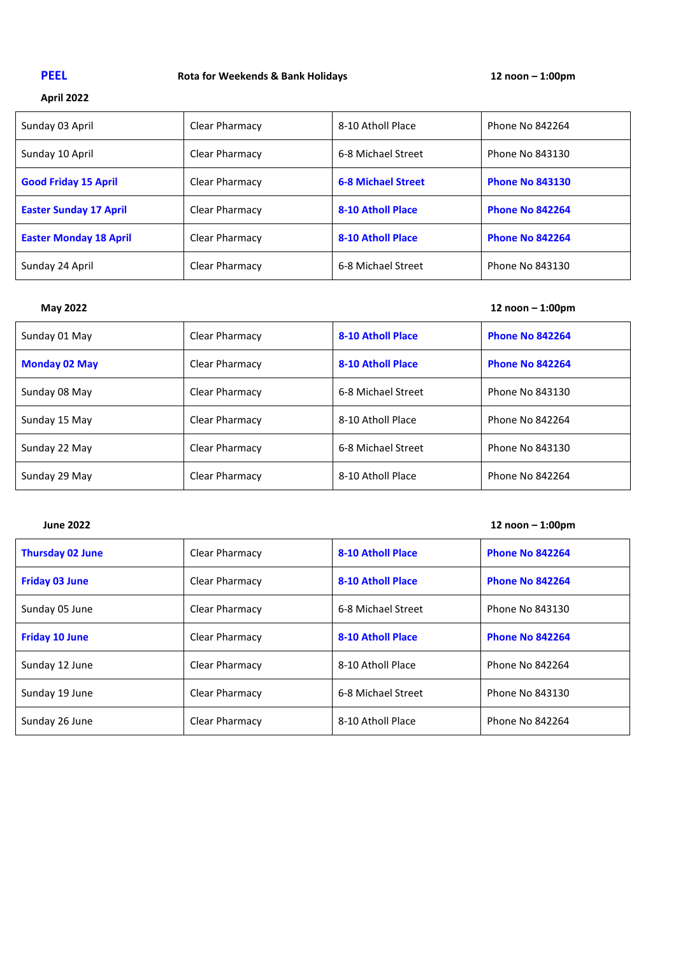# **PEEL Rota for Weekends & Bank Holidays 12 noon – 1:00pm**

## **April 2022**

| Sunday 03 April               | Clear Pharmacy | 8-10 Atholl Place         | Phone No 842264        |
|-------------------------------|----------------|---------------------------|------------------------|
| Sunday 10 April               | Clear Pharmacy | 6-8 Michael Street        | Phone No 843130        |
| <b>Good Friday 15 April</b>   | Clear Pharmacy | <b>6-8 Michael Street</b> | <b>Phone No 843130</b> |
| <b>Easter Sunday 17 April</b> | Clear Pharmacy | 8-10 Atholl Place         | <b>Phone No 842264</b> |
| <b>Easter Monday 18 April</b> | Clear Pharmacy | 8-10 Atholl Place         | <b>Phone No 842264</b> |
| Sunday 24 April               | Clear Pharmacy | 6-8 Michael Street        | Phone No 843130        |

| <b>May 2022</b>      |                |                          | 12 $n$ oon $-$ 1:00pm  |
|----------------------|----------------|--------------------------|------------------------|
| Sunday 01 May        | Clear Pharmacy | 8-10 Atholl Place        | <b>Phone No 842264</b> |
| <b>Monday 02 May</b> | Clear Pharmacy | <b>8-10 Atholl Place</b> | <b>Phone No 842264</b> |
| Sunday 08 May        | Clear Pharmacy | 6-8 Michael Street       | Phone No 843130        |
| Sunday 15 May        | Clear Pharmacy | 8-10 Atholl Place        | Phone No 842264        |
| Sunday 22 May        | Clear Pharmacy | 6-8 Michael Street       | Phone No 843130        |
| Sunday 29 May        | Clear Pharmacy | 8-10 Atholl Place        | Phone No 842264        |

## **June 2022 12 noon – 1:00pm**

| <b>Thursday 02 June</b> | Clear Pharmacy | 8-10 Atholl Place        | <b>Phone No 842264</b> |
|-------------------------|----------------|--------------------------|------------------------|
| <b>Friday 03 June</b>   | Clear Pharmacy | <b>8-10 Atholl Place</b> | <b>Phone No 842264</b> |
| Sunday 05 June          | Clear Pharmacy | 6-8 Michael Street       | Phone No 843130        |
| <b>Friday 10 June</b>   | Clear Pharmacy | 8-10 Atholl Place        | <b>Phone No 842264</b> |
| Sunday 12 June          | Clear Pharmacy | 8-10 Atholl Place        | Phone No 842264        |
| Sunday 19 June          | Clear Pharmacy | 6-8 Michael Street       | Phone No 843130        |
| Sunday 26 June          | Clear Pharmacy | 8-10 Atholl Place        | Phone No 842264        |